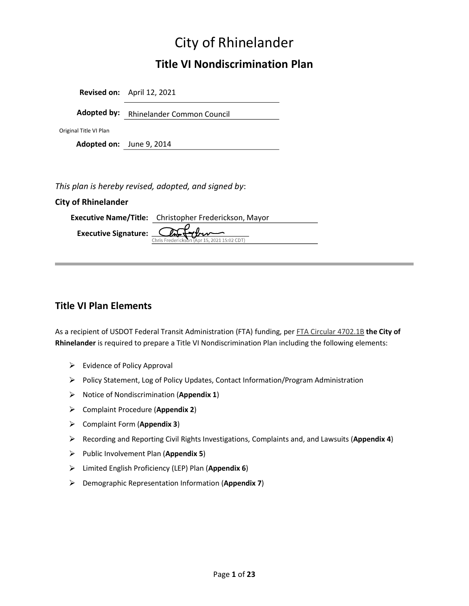# City of Rhinelander

# Title VI Nondiscrimination Plan

|                          | Revised on: April 12, 2021             |
|--------------------------|----------------------------------------|
|                          | Adopted by: Rhinelander Common Council |
| Original Title VI Plan   |                                        |
| Adopted on: June 9, 2014 |                                        |
|                          |                                        |

This plan is hereby revised, adopted, and signed by:

### City of Rhinelander

| <b>Executive Name/Title:</b> Christopher Frederickson, Mayor                               |
|--------------------------------------------------------------------------------------------|
| <b>Executive Signature:</b> $\overbrace{\text{Christederickson (Apr 15, 2021 15:02 CDT)}}$ |

### Title VI Plan Elements

As a recipient of USDOT Federal Transit Administration (FTA) funding, per FTA Circular 4702.1B the City of Rhinelander is required to prepare a Title VI Nondiscrimination Plan including the following elements:

- $\triangleright$  Evidence of Policy Approval
- $\triangleright$  Policy Statement, Log of Policy Updates, Contact Information/Program Administration
- $\triangleright$  Notice of Nondiscrimination (Appendix 1)
- Complaint Procedure (Appendix 2)
- $\triangleright$  Complaint Form (Appendix 3)
- $\triangleright$  Recording and Reporting Civil Rights Investigations, Complaints and, and Lawsuits (Appendix 4)
- $\triangleright$  Public Involvement Plan (Appendix 5)
- $\triangleright$  Limited English Proficiency (LEP) Plan (Appendix 6)
- $\triangleright$  Demographic Representation Information (Appendix 7)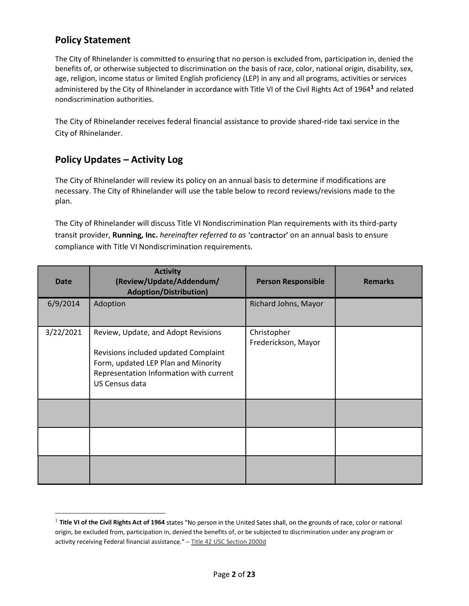### Policy Statement

**Policy Statement**<br>The City of Rhinelander is committed to ensuring that no person is excluded from, participation in, denied the<br>benefits of, or otherwise subjected to discrimination on the basis of race, color, national benefits of, or otherwise subjected to discrimination on the basis of race, color, national origin, disability, sex, age, religion, income status or limited English proficiency (LEP) in any and all programs, activities or services administered by the City of Rhinelander in accordance with Title VI of the Civil Rights Act of 1964<sup>1</sup> and related nondiscrimination authorities.

The City of Rhinelander receives federal financial assistance to provide shared-ride taxi service in the City of Rhinelander.

### Policy Updates - Activity Log

The City of Rhinelander will review its policy on an annual basis to determine if modifications are necessary. The City of Rhinelander will use the table below to record reviews/revisions made to the plan.

The City of Rhinelander will discuss Title VI Nondiscrimination Plan requirements with its third-party transit provider, Running, Inc. hereinafter referred to as 'contractor' on an annual basis to ensure compliance with Title VI Nondiscrimination requirements.

| <b>Date</b> | <b>Activity</b><br>(Review/Update/Addendum/<br><b>Adoption/Distribution)</b>                                                                                                    | <b>Person Responsible</b>          | <b>Remarks</b> |
|-------------|---------------------------------------------------------------------------------------------------------------------------------------------------------------------------------|------------------------------------|----------------|
| 6/9/2014    | Adoption                                                                                                                                                                        | Richard Johns, Mayor               |                |
| 3/22/2021   | Review, Update, and Adopt Revisions<br>Revisions included updated Complaint<br>Form, updated LEP Plan and Minority<br>Representation Information with current<br>US Census data | Christopher<br>Frederickson, Mayor |                |
|             |                                                                                                                                                                                 |                                    |                |
|             |                                                                                                                                                                                 |                                    |                |
|             |                                                                                                                                                                                 |                                    |                |

 $^1$  Title VI of the Civil Rights Act of 1964 states "No person in the United Sates shall, origin, be excluded from, participation in, denied the benefits of, or be subjected to discrimination under any program or activity receiving Federal financial assistance." - Title 42 USC Section 2000d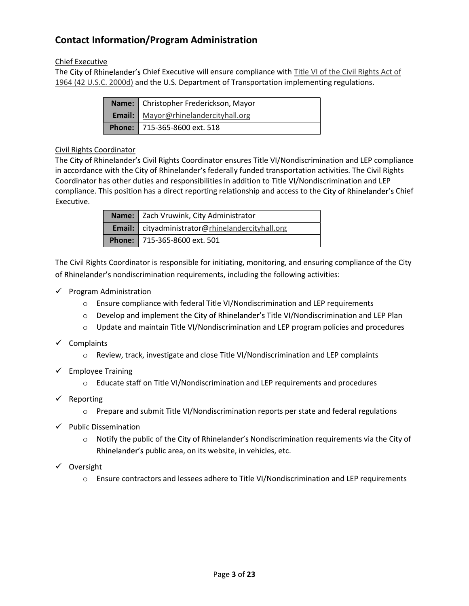### Contact Information/Program Administration

### Chief Executive

The City of Rhinelander's Chief Executive will ensure compliance with Title VI of the Civil Rights Act of 1964 (42 U.S.C. 2000d) and the U.S. Department of Transportation implementing regulations.

| Name: Christopher Frederickson, Mayor       |
|---------------------------------------------|
| <b>Email:</b> Mayor@rhinelandercityhall.org |
| <b>Phone:</b> 715-365-8600 ext. 518         |

### Civil Rights Coordinator

The City of Rhinelander's Civil Rights Coordinator ensures Title VI/Nondiscrimination and LEP compliance in accordance with the City of Rhinelander's federally funded transportation activities. The Civil Rights Coordinator has other duties and responsibilities in addition to Title VI/Nondiscrimination and LEP compliance. This position has a direct reporting relationship and access to the City of Rhinelander's Chief Executive.

| Name:   Zach Vruwink, City Administrator                |
|---------------------------------------------------------|
| <b>Email:</b> cityadministrator@rhinelandercityhall.org |
| Phone:   715-365-8600 ext. 501                          |

The Civil Rights Coordinator is responsible for initiating, monitoring, and ensuring compliance of the City of Rhinelander's nondiscrimination requirements, including the following activities:

- $\checkmark$  Program Administration
	- $\circ$  Ensure compliance with federal Title VI/Nondiscrimination and LEP requirements
	- $\circ$  Develop and implement the City of Rhinelander's Title VI/Nondiscrimination and LEP Plan
	- $\circ$  Update and maintain Title VI/Nondiscrimination and LEP program policies and procedures
- $\checkmark$  Complaints
	- o Review, track, investigate and close Title VI/Nondiscrimination and LEP complaints
- $\checkmark$  Employee Training
	- $\circ$  Educate staff on Title VI/Nondiscrimination and LEP requirements and procedures
- $\checkmark$  Reporting
	- o Prepare and submit Title VI/Nondiscrimination reports per state and federal regulations
- $\checkmark$  Public Dissemination
	- $\circ$  Notify the public of the City of Rhinelander's Nondiscrimination requirements via the City of Rhinelander's public area, on its website, in vehicles, etc.
- $\checkmark$  Oversight
	- o Ensure contractors and lessees adhere to Title VI/Nondiscrimination and LEP requirements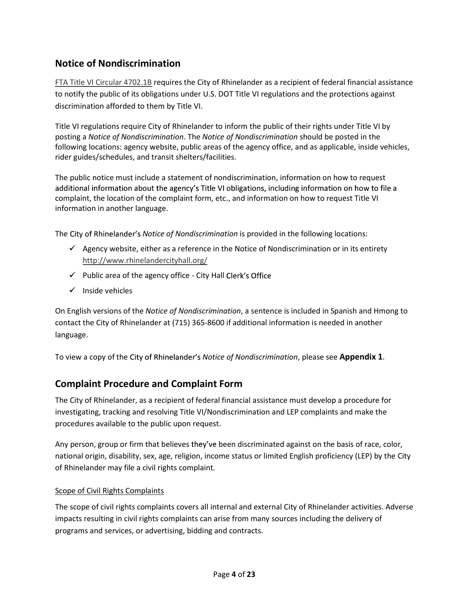### Notice of Nondiscrimination

FTA Title VI Circular 4702.1B requires the City of Rhinelander as a recipient of federal financial assistance to notify the public of its obligations under U.S. DOT Title VI regulations and the protections against discrimination afforded to them by Title VI.

Title VI regulations require City of Rhinelander to inform the public of their rights under Title VI by posting a Notice of Nondiscrimination. The Notice of Nondiscrimination should be posted in the following locations: agency website, public areas of the agency office, and as applicable, inside vehicles, rider guides/schedules, and transit shelters/facilities.

The public notice must include a statement of nondiscrimination, information on how to request additional information about the agency's Title VI obligations, including information on how to file a complaint, the location of the complaint form, etc., and information on how to request Title VI information in another language.

The City of Rhinelander's Notice of Nondiscrimination is provided in the following locations:

- $\checkmark$  Agency website, either as a reference in the Notice of Nondiscrimination or in its entirety
- http://www.rhinelandercityhall.org/<br>
► Public area of the agency office City Hall Clerk's Office
- $\checkmark$  Inside vehicles

On English versions of the Notice of Nondiscrimination, a sentence is included in Spanish and Hmong to contact the City of Rhinelander at (715) 365-8600 if additional information is needed in another language.

To view a copy of the City of Rhinelander's Notice of Nondiscrimination, please see Appendix 1.

### Complaint Procedure and Complaint Form

The City of Rhinelander, as a recipient of federal financial assistance must develop a procedure for investigating, tracking and resolving Title VI/Nondiscrimination and LEP complaints and make the procedures available to the public upon request.

Any person, group or firm that believes they've been discriminated against on the basis of race, color, national origin, disability, sex, age, religion, income status or limited English proficiency (LEP) by the City of Rhinelander may file a civil rights complaint.

### Scope of Civil Rights Complaints

The scope of civil rights complaints covers all internal and external City of Rhinelander activities. Adverse impacts resulting in civil rights complaints can arise from many sources including the delivery of programs and services, or advertising, bidding and contracts.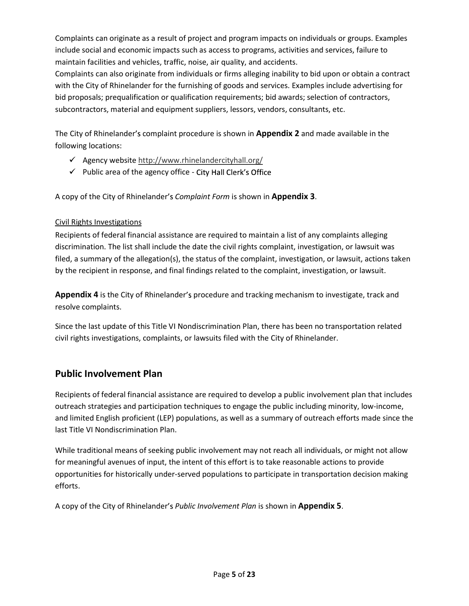Complaints can originate as a result of project and program impacts on individuals or groups. Examples include social and economic impacts such as access to programs, activities and services, failure to maintain facilities and vehicles, traffic, noise, air quality, and accidents.

Complaints can also originate from individuals or firms alleging inability to bid upon or obtain a contract with the City of Rhinelander for the furnishing of goods and services. Examples include advertising for bid proposals; prequalification or qualification requirements; bid awards; selection of contractors, subcontractors, material and equipment suppliers, lessors, vendors, consultants, etc.

The City of Rhinelander's complaint procedure is shown in **Appendix 2** and made available in the following locations:

- 
- Agency website  $\frac{http://www.rhinelandercityhall.org/}{http://www.rhinelandercityhall.org/}$ <br>
Public area of the agency office City Hall Clerk's Office

A copy of the City of Rhinelander's Complaint Form is shown in **Appendix 3**.<br>Civil Rights Investigations

Recipients of federal financial assistance are required to maintain a list of any complaints alleging discrimination. The list shall include the date the civil rights complaint, investigation, or lawsuit was filed, a summary of the allegation(s), the status of the complaint, investigation, or lawsuit, actions taken by the recipient in response, and final findings related to the complaint, investigation, or lawsuit.

Appendix 4 is the City of Rhinelander's procedure and tracking mechanism to investigate, track and resolve complaints.

Since the last update of this Title VI Nondiscrimination Plan, there has been no transportation related civil rights investigations, complaints, or lawsuits filed with the City of Rhinelander.

### Public Involvement Plan

Recipients of federal financial assistance are required to develop a public involvement plan that includes outreach strategies and participation techniques to engage the public including minority, low-income, and limited English proficient (LEP) populations, as well as a summary of outreach efforts made since the last Title VI Nondiscrimination Plan.

While traditional means of seeking public involvement may not reach all individuals, or might not allow for meaningful avenues of input, the intent of this effort is to take reasonable actions to provide opportunities for historically under-served populations to participate in transportation decision making efforts.

A copy of the City of Rhinelander's Public Involvement Plan is shown in **Appendix 5.**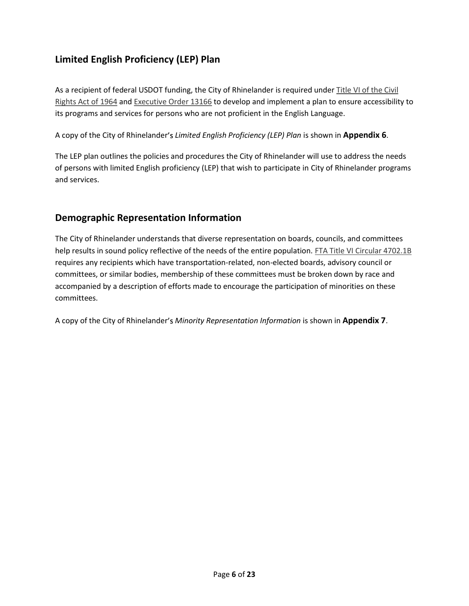### Limited English Proficiency (LEP) Plan

As a recipient of federal USDOT funding, the City of Rhinelander is required under Title VI of the Civil Rights Act of 1964 and Executive Order 13166 to develop and implement a plan to ensure accessibility to its programs and services for persons who are not proficient in the English Language.

A copy of the City of Rhinelander's *Limited English Proficiency (LEP) Plan* is shown in **Appendix 6**.<br>The LEP plan outlines the policies and procedures the City of Rhinelander will use to address the needs of persons with limited English proficiency (LEP) that wish to participate in City of Rhinelander programs and services.

### Demographic Representation Information

The City of Rhinelander understands that diverse representation on boards, councils, and committees help results in sound policy reflective of the needs of the entire population. FTA Title VI Circular 4702.1B requires any recipients which have transportation-related, non-elected boards, advisory council or committees, or similar bodies, membership of these committees must be broken down by race and accompanied by a description of efforts made to encourage the participation of minorities on these committees.

A copy of the City of Rhinelander's Minority Representation Information is shown in Appendix 7.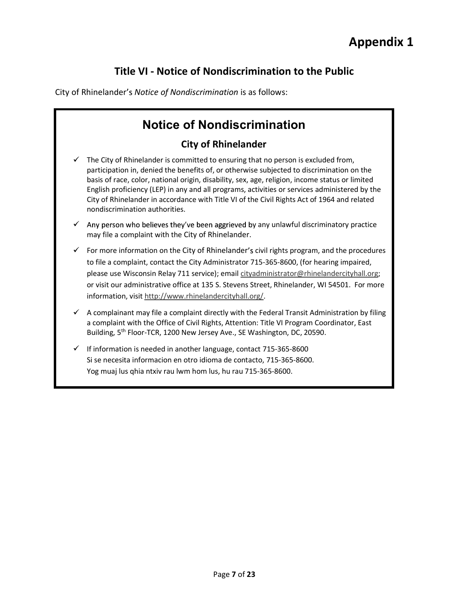## Title VI - Notice of Nondiscrimination to the Public

City of Rhinelander's Notice of Nondiscrimination is as follows:

# Notice of Nondiscrimination

### City of Rhinelander

- The City of Rhinelander is committed to ensuring that no person is excluded from, participation in, denied the benefits of, or otherwise subjected to discrimination on the basis of race, color, national origin, disability, sex, age, religion, income status or limited English proficiency (LEP) in any and all programs, activities or services administered by the City of Rhinelander in accordance with Title VI of the Civil Rights Act of 1964 and related nondiscrimination authorities.
- Any person who believes they've been aggrieved by any unlawful discriminatory practice may file a complaint with the City of Rhinelander.
- For more information on the City of Rhinelander's civil rights program, and the procedures  $\checkmark$ to file a complaint, contact the City Administrator 715-365-8600, (for hearing impaired, please use Wisconsin Relay 711 service); email cityadministrator@rhinelandercityhall.org; or visit our administrative office at 135 S. Stevens Street, Rhinelander, WI 54501. For more
- information, visit http://www.rhinelandercityhall.org/.<br>A complainant may file a complaint directly with the Federal Transit Administration by filing  $\checkmark$ a complaint with the Office of Civil Rights, Attention: Title VI Program Coordinator, East Building, 5<sup>th</sup> Floor-TCR, 1200 New Jersey Ave., SE Washington, DC, 20590.
- If information is needed in another language, contact 715-365-8600 Si se necesita informacion en otro idioma de contacto, 715-365-8600. Yog muaj lus qhia ntxiv rau lwm hom lus, hu rau 715-365-8600.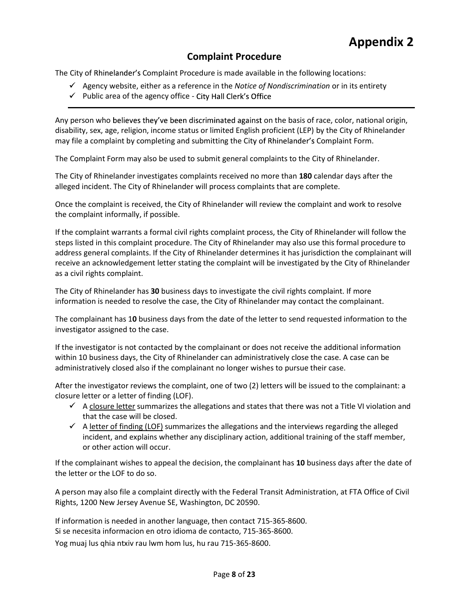### Complaint Procedure

The City of Rhinelander's Complaint Procedure is made available in the following locations:

- $\checkmark$  Agency website, either as a reference in the Notice of Nondiscrimination or in its entirety
- $\checkmark$  Public area of the agency office City Hall Clerk's Office

Any person who believes they've been discriminated against on the basis of race, color, national origin, disability, sex, age, religion, income status or limited English proficient (LEP) by the City of Rhinelander may file a complaint by completing and submitting the City of Rhinelander's Complaint Form.

The Complaint Form may also be used to submit general complaints to the City of Rhinelander.

The City of Rhinelander investigates complaints received no more than 180 calendar days after the alleged incident. The City of Rhinelander will process complaints that are complete.

Once the complaint is received, the City of Rhinelander will review the complaint and work to resolve the complaint informally, if possible.

If the complaint warrants a formal civil rights complaint process, the City of Rhinelander will follow the steps listed in this complaint procedure. The City of Rhinelander may also use this formal procedure to address general complaints. If the City of Rhinelander determines it has jurisdiction the complainant will receive an acknowledgement letter stating the complaint will be investigated by the City of Rhinelander as a civil rights complaint.

The City of Rhinelander has 30 business days to investigate the civil rights complaint. If more information is needed to resolve the case, the City of Rhinelander may contact the complainant.

The complainant has 10 business days from the date of the letter to send requested information to the investigator assigned to the case.

If the investigator is not contacted by the complainant or does not receive the additional information within 10 business days, the City of Rhinelander can administratively close the case. A case can be administratively closed also if the complainant no longer wishes to pursue their case.

After the investigator reviews the complaint, one of two (2) letters will be issued to the complainant: a closure letter or a letter of finding (LOF).

- $\checkmark$  A closure letter summarizes the allegations and states that there was not a Title VI violation and that the case will be closed.
- $\checkmark$  A letter of finding (LOF) summarizes the allegations and the interviews regarding the alleged incident, and explains whether any disciplinary action, additional training of the staff member, or other action will occur.

If the complainant wishes to appeal the decision, the complainant has 10 business days after the date of the letter or the LOF to do so.

A person may also file a complaint directly with the Federal Transit Administration, at FTA Office of Civil Rights, 1200 New Jersey Avenue SE, Washington, DC 20590.

If information is needed in another language, then contact 715-365-8600. Si se necesita informacion en otro idioma de contacto, 715-365-8600. Yog muaj lus qhia ntxiv rau lwm hom lus, hu rau 715-365-8600.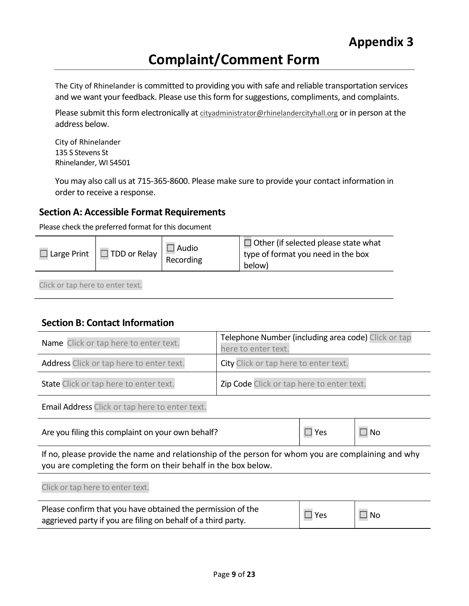# Complaint/Comment Form

The City of Rhinelander is committed to providing you with safe and reliable transportation services and we want your feedback. Please use this form for suggestions, compliments, and complaints.

Please submit this form electronically at cityadministrator@rhinelandercityhall.org or in person at the address below.

City of Rhinelander 135 S Stevens St Rhinelander, WI 54501

You may also call us at 715-365-8600. Please make sure to provide your contact information in order to receive a response.

### Section A: Accessible Format Requirements

Please check the preferred format for this document

| Audio<br>$\Box$ TDD or Relay $\Box$<br>$\Box$ Large Print<br>Recording<br>below) | $\Box$ Other (if selected please state what<br>type of format you need in the box |
|----------------------------------------------------------------------------------|-----------------------------------------------------------------------------------|
|----------------------------------------------------------------------------------|-----------------------------------------------------------------------------------|

Click or tap here to enter text.

Click or tap here to enter text.

### Section B: Contact Information

| Name Click or tap here to enter text.    | Telephone Number (including area code) Click or tap<br>here to enter text. |
|------------------------------------------|----------------------------------------------------------------------------|
| Address Click or tap here to enter text. | City Click or tap here to enter text.                                      |
| State Click or tap here to enter text.   | Zip Code Click or tap here to enter text.                                  |

Email Address Click or tap here to enter text.

| Are you filing this complaint on your own behalf? | $\Box$ Yes | $\vert \Box$ No |
|---------------------------------------------------|------------|-----------------|
|---------------------------------------------------|------------|-----------------|

If no, please provide the name and relationship of the person for whom you are complaining and why you are completing the form on their behalf in the box below.

| Please confirm that you have obtained the permission of the   | $\square$ Yes |           |
|---------------------------------------------------------------|---------------|-----------|
| aggrieved party if you are filing on behalf of a third party. |               | $\Box$ No |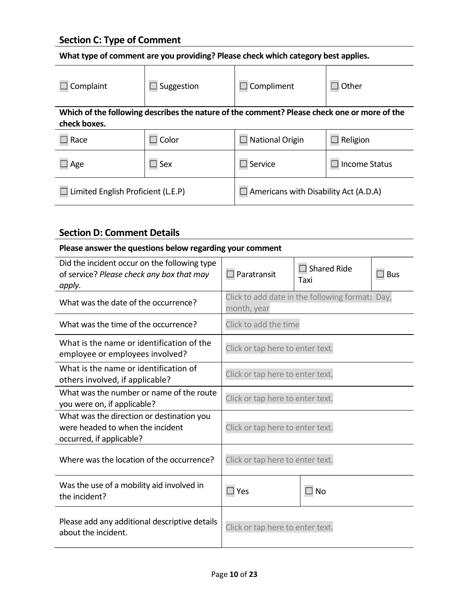| What type of comment are you providing? Please check which category best applies. |  |
|-----------------------------------------------------------------------------------|--|
|-----------------------------------------------------------------------------------|--|

| <b>Section C: Type of Comment</b> |                   |                                                                                             |                         |
|-----------------------------------|-------------------|---------------------------------------------------------------------------------------------|-------------------------|
|                                   |                   | What type of comment are you providing? Please check which category best applies.           |                         |
| Complaint                         | $\Box$ Suggestion | Compliment                                                                                  | Other<br>$\mathbb{R}^n$ |
|                                   |                   |                                                                                             |                         |
| check boxes.                      |                   | Which of the following describes the nature of the comment? Please check one or more of the |                         |
| Race                              | $\Box$ Color      | $\Box$ National Origin                                                                      | Religion<br>$\Box$      |
| $\Box$ Age                        | $\square$ Sex     | $\Box$ Service                                                                              | <b>Income Status</b>    |

### Section D: Comment Details

### Please answer the questions below regarding your comment

| Did the incident occur on the following type<br>of service? Please check any box that may<br>apply.       | Paratransit                                                    | $\Box$ Shared Ride<br>Taxi | $\square$ Bus |
|-----------------------------------------------------------------------------------------------------------|----------------------------------------------------------------|----------------------------|---------------|
| What was the date of the occurrence?                                                                      | Click to add date in the following format: Day,<br>month, year |                            |               |
| What was the time of the occurrence?                                                                      | Click to add the time                                          |                            |               |
| What is the name or identification of the<br>employee or employees involved?                              | Click or tap here to enter text.                               |                            |               |
| What is the name or identification of<br>others involved, if applicable?                                  | Click or tap here to enter text.                               |                            |               |
| What was the number or name of the route<br>you were on, if applicable?                                   | Click or tap here to enter text.                               |                            |               |
| What was the direction or destination you<br>were headed to when the incident<br>occurred, if applicable? | Click or tap here to enter text.                               |                            |               |
| Where was the location of the occurrence?                                                                 | Click or tap here to enter text.                               |                            |               |
| Was the use of a mobility aid involved in<br>the incident?                                                | $\Box$ Yes                                                     | $\square$ No               |               |
| Please add any additional descriptive details<br>about the incident.                                      | Click or tap here to enter text.                               |                            |               |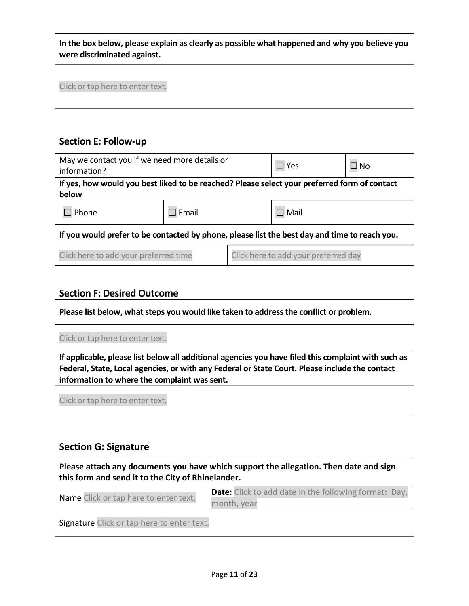In the box below, please explain as clearly as possible what happened and why you believe you were discriminated against.

Click or tap here to enter text.

### Section E: Follow-up

| May we contact you if we need more details or<br>information?                                 |                                                                                              | $\Box$ Yes                           | $\square$ No   |  |  |  |
|-----------------------------------------------------------------------------------------------|----------------------------------------------------------------------------------------------|--------------------------------------|----------------|--|--|--|
|                                                                                               | If yes, how would you best liked to be reached? Please select your preferred form of contact |                                      |                |  |  |  |
| below                                                                                         |                                                                                              |                                      |                |  |  |  |
| $\Box$ Phone                                                                                  | Email                                                                                        |                                      | $\square$ Mail |  |  |  |
| If you would prefer to be contacted by phone, please list the best day and time to reach you. |                                                                                              |                                      |                |  |  |  |
| Click here to add your preferred time                                                         |                                                                                              | Click here to add your preferred day |                |  |  |  |

### Section F: Desired Outcome

Please list below, what steps you would like taken to address the conflict or problem.

### Click or tap here to enter text.

If applicable, please list below all additional agencies you have filed this complaint with such as Federal, State, Local agencies, or with any Federal or State Court. Please include the contact information to where the complaint was sent.

Click or tap here to enter text.

### Section G: Signature

Please attach any documents you have which support the allegation. Then date and sign this form and send it to the City of Rhinelander.

|                                       | <b>Date:</b> Click to add date in the following format: Day, |
|---------------------------------------|--------------------------------------------------------------|
| Name Click or tap here to enter text. | month, year                                                  |

Signature Click or tap here to enter text.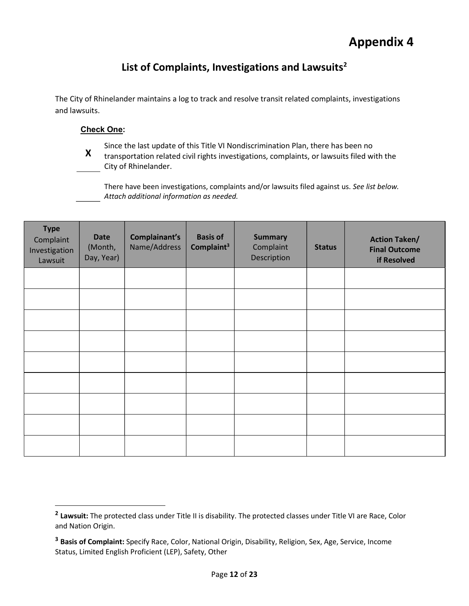### List of Complaints, Investigations and Lawsuits<sup>2</sup>

The City of Rhinelander maintains a log to track and resolve transit related complaints, investigations and lawsuits.

### Check One:

X<br>The transportation related civil rights investigations, complaints, or lawsuits filed with the Since the last update of this Title VI Nondiscrimination Plan, there has been no City of Rhinelander.

There have been investigations, complaints and/or lawsuits filed against us. See list below. Attach additional information as needed.

| <b>Type</b><br>Complaint<br>Investigation<br>Lawsuit | <b>Date</b><br>(Month,<br>Day, Year) | Complainant's<br>Name/Address | <b>Basis of</b><br>Complaint <sup>3</sup> | <b>Summary</b><br>Complaint<br>Description | <b>Status</b> | <b>Action Taken/</b><br><b>Final Outcome</b><br>if Resolved |
|------------------------------------------------------|--------------------------------------|-------------------------------|-------------------------------------------|--------------------------------------------|---------------|-------------------------------------------------------------|
|                                                      |                                      |                               |                                           |                                            |               |                                                             |
|                                                      |                                      |                               |                                           |                                            |               |                                                             |
|                                                      |                                      |                               |                                           |                                            |               |                                                             |
|                                                      |                                      |                               |                                           |                                            |               |                                                             |
|                                                      |                                      |                               |                                           |                                            |               |                                                             |
|                                                      |                                      |                               |                                           |                                            |               |                                                             |
|                                                      |                                      |                               |                                           |                                            |               |                                                             |
|                                                      |                                      |                               |                                           |                                            |               |                                                             |
|                                                      |                                      |                               |                                           |                                            |               |                                                             |

<sup>&</sup>lt;sup>2</sup> Lawsuit: The protected class under Title II is disability. The protected classes under Title VI are Race, Color and Nation Origin.

<sup>&</sup>lt;sup>3</sup> Basis of Complaint: Specify Race, Color, National Origin, Disability, Religion, Sex, Age, Service, Income Status, Limited English Proficient (LEP), Safety, Other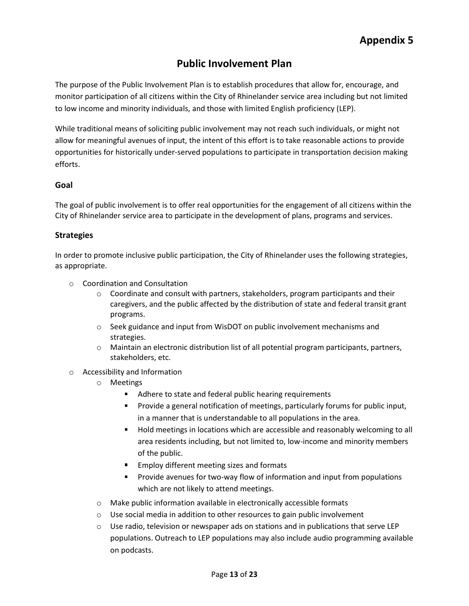### Public Involvement Plan

The purpose of the Public Involvement Plan is to establish procedures that allow for, encourage, and monitor participation of all citizens within the City of Rhinelander service area including but not limited to low income and minority individuals, and those with limited English proficiency (LEP).

While traditional means of soliciting public involvement may not reach such individuals, or might not allow for meaningful avenues of input, the intent of this effort is to take reasonable actions to provide opportunities for historically under-served populations to participate in transportation decision making efforts.

### Goal

The goal of public involvement is to offer real opportunities for the engagement of all citizens within the City of Rhinelander service area to participate in the development of plans, programs and services.

### **Strategies**

In order to promote inclusive public participation, the City of Rhinelander uses the following strategies, as appropriate.

- o Coordination and Consultation
	- $\circ$  Coordinate and consult with partners, stakeholders, program participants and their caregivers, and the public affected by the distribution of state and federal transit grant programs.
	- o Seek guidance and input from WisDOT on public involvement mechanisms and strategies.
	- o Maintain an electronic distribution list of all potential program participants, partners, stakeholders, etc.
- o Accessibility and Information
	- o Meetings
		- Adhere to state and federal public hearing requirements
		- **Provide a general notification of meetings, particularly forums for public input,** in a manner that is understandable to all populations in the area.
		- **Hold meetings in locations which are accessible and reasonably welcoming to all** area residents including, but not limited to, low-income and minority members of the public.
		- **Employ different meeting sizes and formats**
		- **Provide avenues for two-way flow of information and input from populations** which are not likely to attend meetings.
	- o Make public information available in electronically accessible formats
	- $\circ$  Use social media in addition to other resources to gain public involvement
	- $\circ$  Use radio, television or newspaper ads on stations and in publications that serve LEP populations. Outreach to LEP populations may also include audio programming available on podcasts.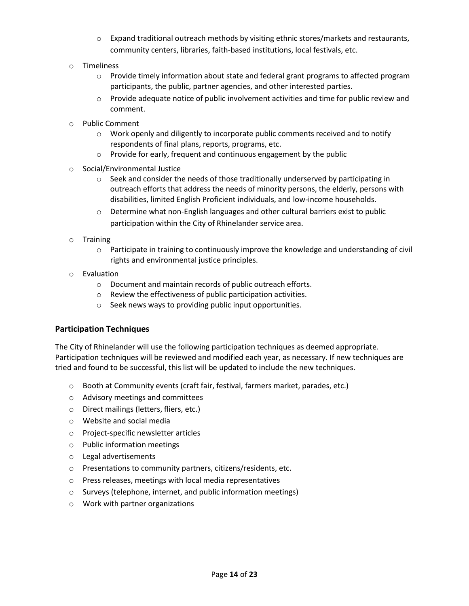- $\circ$  Expand traditional outreach methods by visiting ethnic stores/markets and restaurants, community centers, libraries, faith-based institutions, local festivals, etc.
- o Timeliness
	- o Provide timely information about state and federal grant programs to affected program participants, the public, partner agencies, and other interested parties.
	- $\circ$  Provide adequate notice of public involvement activities and time for public review and comment.
- o Public Comment
	- $\circ$  Work openly and diligently to incorporate public comments received and to notify respondents of final plans, reports, programs, etc.
	- $\circ$  Provide for early, frequent and continuous engagement by the public
- o Social/Environmental Justice
	- $\circ$  Seek and consider the needs of those traditionally underserved by participating in outreach efforts that address the needs of minority persons, the elderly, persons with disabilities, limited English Proficient individuals, and low-income households.
	- $\circ$  Determine what non-English languages and other cultural barriers exist to public participation within the City of Rhinelander service area.
- o Training
	- $\circ$  Participate in training to continuously improve the knowledge and understanding of civil rights and environmental justice principles.
- o Evaluation
	- o Document and maintain records of public outreach efforts.
	- o Review the effectiveness of public participation activities.
	- o Seek news ways to providing public input opportunities.

### Participation Techniques

The City of Rhinelander will use the following participation techniques as deemed appropriate. Participation techniques will be reviewed and modified each year, as necessary. If new techniques are tried and found to be successful, this list will be updated to include the new techniques.

- o Booth at Community events (craft fair, festival, farmers market, parades, etc.)
- o Advisory meetings and committees
- o Direct mailings (letters, fliers, etc.)
- o Website and social media
- o Project-specific newsletter articles
- o Public information meetings
- o Legal advertisements
- o Presentations to community partners, citizens/residents, etc.
- o Press releases, meetings with local media representatives
- o Surveys (telephone, internet, and public information meetings)
- o Work with partner organizations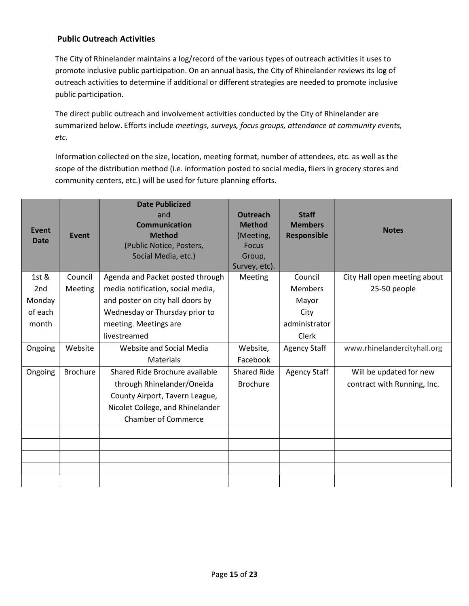### Public Outreach Activities

**Public Outreach Activities**<br>The City of Rhinelander maintains a log/record of the various types of outreach activities it uses to<br>promote inclusive public participation. On an annual basis, the City of Rhinelander reviews promote inclusive public participation. On an annual basis, the City of Rhinelander reviews its log of outreach activities to determine if additional or different strategies are needed to promote inclusive public participation.

The direct public outreach and involvement activities conducted by the City of Rhinelander are summarized below. Efforts include meetings, surveys, focus groups, attendance at community events,

etc.<br>Information collected on the size, location, meeting format, number of attendees, etc. as well as the scope of the distribution method (i.e. information posted to social media, fliers in grocery stores and community centers, etc.) will be used for future planning efforts.

|                 |                 | <b>Date Publicized</b><br>and     | <b>Outreach</b>    | <b>Staff</b>        |                              |
|-----------------|-----------------|-----------------------------------|--------------------|---------------------|------------------------------|
| <b>Event</b>    |                 | <b>Communication</b>              | <b>Method</b>      | <b>Members</b>      | <b>Notes</b>                 |
| <b>Date</b>     | <b>Event</b>    | <b>Method</b>                     | (Meeting,          | <b>Responsible</b>  |                              |
|                 |                 | (Public Notice, Posters,          | <b>Focus</b>       |                     |                              |
|                 |                 | Social Media, etc.)               | Group,             |                     |                              |
|                 |                 |                                   | Survey, etc).      |                     |                              |
| 1st &           | Council         | Agenda and Packet posted through  | Meeting            | Council             | City Hall open meeting about |
| 2 <sub>nd</sub> | Meeting         | media notification, social media, |                    | <b>Members</b>      | 25-50 people                 |
| Monday          |                 | and poster on city hall doors by  |                    | Mayor               |                              |
| of each         |                 | Wednesday or Thursday prior to    |                    | City                |                              |
| month           |                 | meeting. Meetings are             |                    | administrator       |                              |
|                 |                 | livestreamed                      |                    | Clerk               |                              |
| Ongoing         | Website         | Website and Social Media          | Website,           | <b>Agency Staff</b> | www.rhinelandercityhall.org  |
|                 |                 | Materials                         | Facebook           |                     |                              |
| Ongoing         | <b>Brochure</b> | Shared Ride Brochure available    | <b>Shared Ride</b> | <b>Agency Staff</b> | Will be updated for new      |
|                 |                 | through Rhinelander/Oneida        | <b>Brochure</b>    |                     | contract with Running, Inc.  |
|                 |                 | County Airport, Tavern League,    |                    |                     |                              |
|                 |                 | Nicolet College, and Rhinelander  |                    |                     |                              |
|                 |                 | <b>Chamber of Commerce</b>        |                    |                     |                              |
|                 |                 |                                   |                    |                     |                              |
|                 |                 |                                   |                    |                     |                              |
|                 |                 |                                   |                    |                     |                              |
|                 |                 |                                   |                    |                     |                              |
|                 |                 |                                   |                    |                     |                              |
|                 |                 |                                   |                    |                     |                              |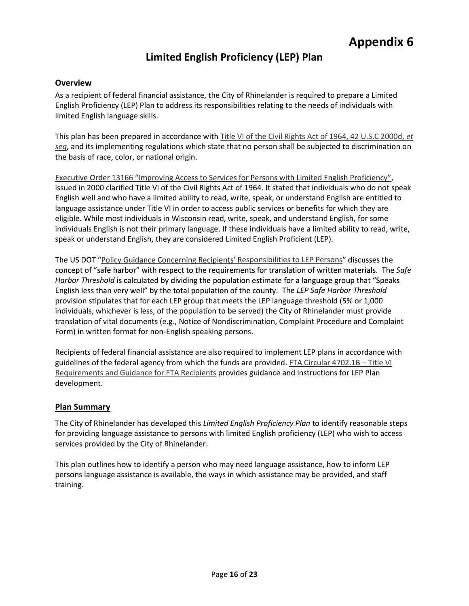## Limited English Proficiency (LEP) Plan

### **Overview**

As a recipient of federal financial assistance, the City of Rhinelander is required to prepare a Limited English Proficiency (LEP) Plan to address its responsibilities relating to the needs of individuals with limited English language skills.

This plan has been prepared in accordance with Title VI of the Civil Rights Act of 1964, 42 U.S.C 2000d, et seq, and its implementing regulations which state that no person shall be subjected to discrimination on

the basis of race, color, or national origin.<br>
Executive Order 13166 "Improving Access to Services for Persons with Limited English Proficiency",<br>
issued in 2000 clarified Title VI of the Civil Rights Act of 1964. It state English well and who have a limited ability to read, write, speak, or understand English are entitled to language assistance under Title VI in order to access public services or benefits for which they are eligible. While most individuals in Wisconsin read, write, speak, and understand English, for some individuals English is not their primary language. If these individuals have a limited ability to read, write, speak or understand English, they are considered Limited English Proficient (LEP).

The US DOT "Policy Guidance Concerning Recipients' Responsibilities to LEP Persons" discusses the concept of "safe harbor" with respect to the requirements for translation of written materials. The Safe Harbor Threshold is calculated by dividing the population estimate for a language group that "Speaks" English less than very well" by the total population of the county. The LEP Safe Harbor Threshold provision stipulates that for each LEP group that meets the LEP language threshold (5% or 1,000 individuals, whichever is less, of the population to be served) the City of Rhinelander must provide translation of vital documents (e.g., Notice of Nondiscrimination, Complaint Procedure and Complaint Form) in written format for non-English speaking persons.

Recipients of federal financial assistance are also required to implement LEP plans in accordance with guidelines of the federal agency from which the funds are provided. FTA Circular 4702.1B - Title VI Requirements and Guidance for FTA Recipients provides guidance and instructions for LEP Plan development.

### Plan Summary

The City of Rhinelander has developed this Limited English Proficiency Plan to identify reasonable steps for providing language assistance to persons with limited English proficiency (LEP) who wish to access services provided by the City of Rhinelander.

This plan outlines how to identify a person who may need language assistance, how to inform LEP persons language assistance is available, the ways in which assistance may be provided, and staff training.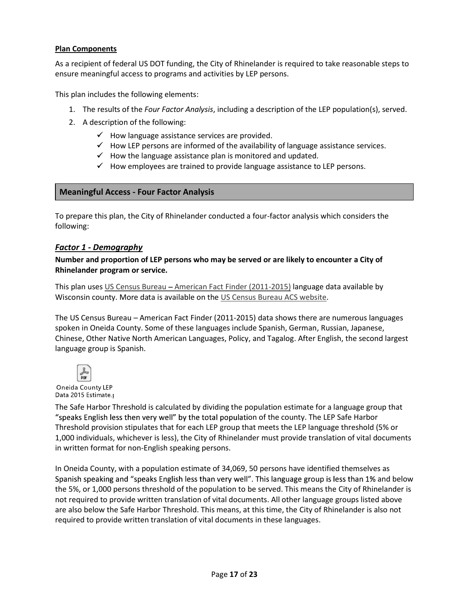### Plan Components

As a recipient of federal US DOT funding, the City of Rhinelander is required to take reasonable steps to ensure meaningful access to programs and activities by LEP persons.

This plan includes the following elements:

- 1. The results of the Four Factor Analysis, including a description of the LEP population(s), served.
- 2. A description of the following:
	- $\checkmark$  How language assistance services are provided.
	- $\checkmark$  How LEP persons are informed of the availability of language assistance services.
	- $\checkmark$  How the language assistance plan is monitored and updated.
	- $\checkmark$  How employees are trained to provide language assistance to LEP persons.

### Meaningful Access - Four Factor Analysis

To prepare this plan, the City of Rhinelander conducted a four-factor analysis which considers the following:

### Factor 1 - Demography

Number and proportion of LEP persons who may be served or are likely to encounter a City of Rhinelander program or service.

This plan uses US Census Bureau - American Fact Finder (2011-2015) language data available by Wisconsin county. More data is available on the US Census Bureau ACS website.<br>The US Census Bureau – American Fact Finder (2011-2015) data shows there are numerous languages

spoken in Oneida County. Some of these languages include Spanish, German, Russian, Japanese, Chinese, Other Native North American Languages, Policy, and Tagalog. After English, the second largest language group is Spanish.



The Safe Harbor Threshold is calculated by dividing the population estimate for a language group that "speaks English less then very well" by the total population of the county. The LEP Safe Harbor Threshold provision stipulates that for each LEP group that meets the LEP language threshold (5% or 1,000 individuals, whichever is less), the City of Rhinelander must provide translation of vital documents in written format for non-English speaking persons.

In Oneida County, with a population estimate of 34,069, 50 persons have identified themselves as Spanish speaking and "speaks English less than very well". This language group is less than 1% and below the 5%, or 1,000 persons threshold of the population to be served. This means the City of Rhinelander is not required to provide written translation of vital documents. All other language groups listed above are also below the Safe Harbor Threshold. This means, at this time, the City of Rhinelander is also not required to provide written translation of vital documents in these languages.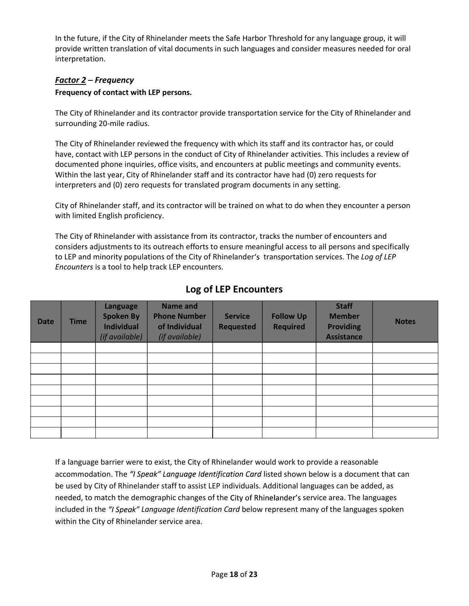In the future, if the City of Rhinelander meets the Safe Harbor Threshold for any language group, it will<br>provide written translation of vital documents in such languages and consider measures needed for oral<br>interpretatio provide written translation of vital documents in such languages and consider measures needed for oral interpretation.

### Factor  $2$  – Frequency

### Frequency of contact with LEP persons.

The City of Rhinelander and its contractor provide transportation service for the City of Rhinelander and surrounding 20-mile radius.

The City of Rhinelander reviewed the frequency with which its staff and its contractor has, or could have, contact with LEP persons in the conduct of City of Rhinelander activities. This includes a review of documented phone inquiries, office visits, and encounters at public meetings and community events. Within the last year, City of Rhinelander staff and its contractor have had (0) zero requests for interpreters and (0) zero requests for translated program documents in any setting.

City of Rhinelander staff, and its contractor will be trained on what to do when they encounter a person with limited English proficiency.

The City of Rhinelander with assistance from its contractor, tracks the number of encounters and considers adjustments to its outreach efforts to ensure meaningful access to all persons and specifically to LEP and minority populations of the City of Rhinelander's transportation services. The Log of LEP Encounters is a tool to help track LEP encounters.

| <b>Date</b> | <b>Time</b> | Language<br><b>Spoken By</b><br><b>Individual</b><br>(if available) | <b>Name and</b><br><b>Phone Number</b><br>of Individual<br>(if available) | <b>Service</b><br><b>Requested</b> | <b>Follow Up</b><br><b>Required</b> | <b>Staff</b><br><b>Member</b><br><b>Providing</b><br><b>Assistance</b> | <b>Notes</b> |
|-------------|-------------|---------------------------------------------------------------------|---------------------------------------------------------------------------|------------------------------------|-------------------------------------|------------------------------------------------------------------------|--------------|
|             |             |                                                                     |                                                                           |                                    |                                     |                                                                        |              |
|             |             |                                                                     |                                                                           |                                    |                                     |                                                                        |              |
|             |             |                                                                     |                                                                           |                                    |                                     |                                                                        |              |
|             |             |                                                                     |                                                                           |                                    |                                     |                                                                        |              |
|             |             |                                                                     |                                                                           |                                    |                                     |                                                                        |              |
|             |             |                                                                     |                                                                           |                                    |                                     |                                                                        |              |
|             |             |                                                                     |                                                                           |                                    |                                     |                                                                        |              |
|             |             |                                                                     |                                                                           |                                    |                                     |                                                                        |              |
|             |             |                                                                     |                                                                           |                                    |                                     |                                                                        |              |

### Log of LEP Encounters

If a language barrier were to exist, the City of Rhinelander would work to provide a reasonable accommodation. The "I Speak" Language Identification Card listed shown below is a document that can be used by City of Rhinelander staff to assist LEP individuals. Additional languages can be added, as needed, to match the demographic changes of the City of Rhinelander's service area. The languages included in the "I Speak" Language Identification Card below represent many of the languages spoken within the City of Rhinelander service area.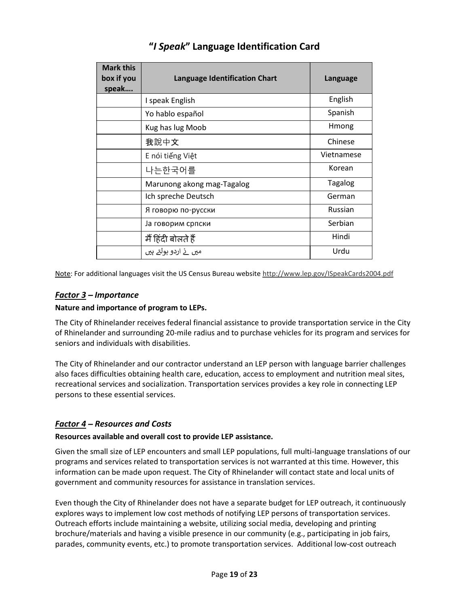| <b>Mark this</b><br>box if you | <b>Language Identification Chart</b> | Language       |
|--------------------------------|--------------------------------------|----------------|
| speak                          |                                      |                |
|                                | I speak English                      | English        |
|                                | Yo hablo español                     | Spanish        |
|                                | Kug has lug Moob                     | Hmong          |
|                                | 我說中文                                 | Chinese        |
|                                | E nói tiếng Việt                     | Vietnamese     |
|                                | 나는한국어를                               | Korean         |
|                                | Marunong akong mag-Tagalog           | <b>Tagalog</b> |
|                                | Ich spreche Deutsch                  | German         |
|                                | Я говорю по-русски                   | Russian        |
|                                | Ја говорим српски                    | Serbian        |
|                                | मैं हिंदी बोलते हैं                  | Hindi          |
|                                | میں نے اردو بولتے ہیں                | Urdu           |

### "I Speak" Language Identification Card

Note: For additional languages visit the US Census Bureau website http://www.lep.gov/ISpeakCards2004.pdf

### Factor 3 – Importance

### Nature and importance of program to LEPs.

The City of Rhinelander receives federal financial assistance to provide transportation service in the City of Rhinelander and surrounding 20-mile radius and to purchase vehicles for its program and services for seniors and individuals with disabilities.

The City of Rhinelander and our contractor understand an LEP person with language barrier challenges also faces difficulties obtaining health care, education, access to employment and nutrition meal sites, recreational services and socialization. Transportation services provides a key role in connecting LEP persons to these essential services.

### Factor 4 – Resources and Costs

### Resources available and overall cost to provide LEP assistance.

Given the small size of LEP encounters and small LEP populations, full multi-language translations of our programs and services related to transportation services is not warranted at this time. However, this information can be made upon request. The City of Rhinelander will contact state and local units of government and community resources for assistance in translation services.

Even though the City of Rhinelander does not have a separate budget for LEP outreach, it continuously explores ways to implement low cost methods of notifying LEP persons of transportation services. Outreach efforts include maintaining a website, utilizing social media, developing and printing brochure/materials and having a visible presence in our community (e.g., participating in job fairs, parades, community events, etc.) to promote transportation services. Additional low-cost outreach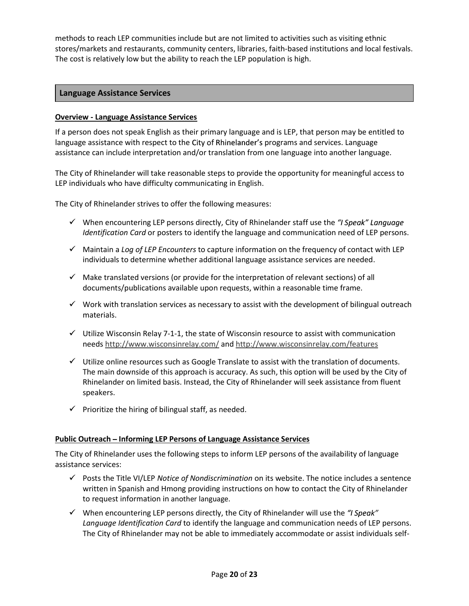methods to reach LEP communities include but are not limited to activities such as visiting ethnic stores/markets and restaurants, community centers, libraries, faith-based institutions and local festivals. The cost is relatively low but the ability to reach the LEP population is high.

### Language Assistance Services

### Overview - Language Assistance Services

If a person does not speak English as their primary language and is LEP, that person may be entitled to language assistance with respect to the City of Rhinelander's programs and services. Language assistance can include interpretation and/or translation from one language into another language.

The City of Rhinelander will take reasonable steps to provide the opportunity for meaningful access to LEP individuals who have difficulty communicating in English.

The City of Rhinelander strives to offer the following measures:

- $\checkmark$  When encountering LEP persons directly, City of Rhinelander staff use the "I Speak" Language Identification Card or posters to identify the language and communication need of LEP persons.
- $\checkmark$  Maintain a Log of LEP Encounters to capture information on the frequency of contact with LEP individuals to determine whether additional language assistance services are needed.
- $\checkmark$  Make translated versions (or provide for the interpretation of relevant sections) of all documents/publications available upon requests, within a reasonable time frame.
- $\checkmark$  Work with translation services as necessary to assist with the development of bilingual outreach materials.
- $\checkmark$  Utilize Wisconsin Relay 7-1-1, the state of Wisconsin resource to assist with communication needs http://www.wisconsinrelay.com/ and http://www.wisconsinrelay.com/features  $\checkmark$  Utilize online resources such as Google Translate to assist with the translation of documents.
- The main downside of this approach is accuracy. As such, this option will be used by the City of Rhinelander on limited basis. Instead, the City of Rhinelander will seek assistance from fluent speakers.
- $\checkmark$  Prioritize the hiring of bilingual staff, as needed.

### Public Outreach - Informing LEP Persons of Language Assistance Services

The City of Rhinelander uses the following steps to inform LEP persons of the availability of language assistance services:

- $\checkmark$  Posts the Title VI/LEP Notice of Nondiscrimination on its website. The notice includes a sentence written in Spanish and Hmong providing instructions on how to contact the City of Rhinelander to request information in another language.
- $\checkmark$  When encountering LEP persons directly, the City of Rhinelander will use the "I Speak" Language Identification Card to identify the language and communication needs of LEP persons. The City of Rhinelander may not be able to immediately accommodate or assist individuals self-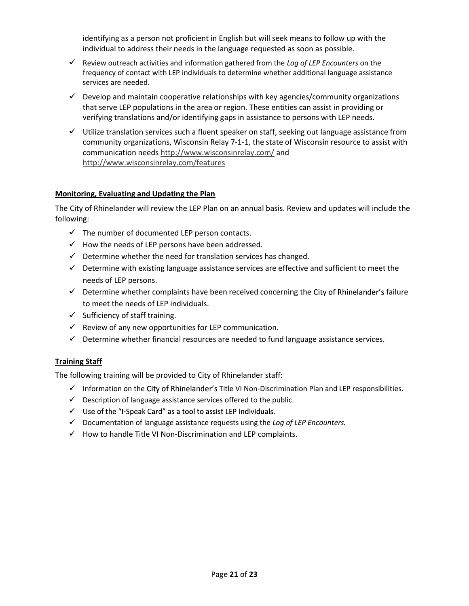identifying as a person not proficient in English but will seek means to follow up with the individual to address their needs in the language requested as soon as possible.

- $\checkmark$  Review outreach activities and information gathered from the Log of LEP Encounters on the frequency of contact with LEP individuals to determine whether additional language assistance services are needed.
- $\checkmark$  Develop and maintain cooperative relationships with key agencies/community organizations that serve LEP populations in the area or region. These entities can assist in providing or verifying translations and/or identifying gaps in assistance to persons with LEP needs.
- $\checkmark$  Utilize translation services such a fluent speaker on staff, seeking out language assistance from community organizations, Wisconsin Relay 7-1-1, the state of Wisconsin resource to assist with communication needs http://www.wisconsinrelay.com/ and http://www.wisconsinrelay.com/features

### Monitoring, Evaluating and Updating the Plan

The City of Rhinelander will review the LEP Plan on an annual basis. Review and updates will include the following:

- $\checkmark$  The number of documented LEP person contacts.
- $\checkmark$  How the needs of LEP persons have been addressed.
- $\checkmark$  Determine whether the need for translation services has changed.
- $\checkmark$  Determine with existing language assistance services are effective and sufficient to meet the needs of LEP persons.
- $\checkmark$  Determine whether complaints have been received concerning the City of Rhinelander's failure to meet the needs of LEP individuals.
- $\checkmark$  Sufficiency of staff training.
- $\checkmark$  Review of any new opportunities for LEP communication.
- $\checkmark$  Determine whether financial resources are needed to fund language assistance services.

### **Training Staff**

The following training will be provided to City of Rhinelander staff:

- Information on the City of Rhinelander's Title VI Non-Discrimination Plan and LEP responsibilities.
- $\checkmark$  Description of language assistance services offered to the public.<br> $\checkmark$  Use of the "I-Speak Card" as a tool to assist LEP individuals.
- 
- $\checkmark$  Documentation of language assistance requests using the Log of LEP Encounters.
- $\checkmark$  How to handle Title VI Non-Discrimination and LEP complaints.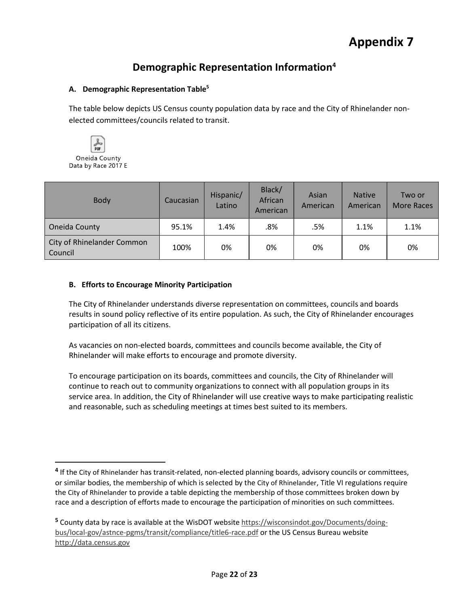### Demographic Representation Information4

### A. Demographic Representation Table<sup>5</sup>

The table below depicts US Census county population data by race and the City of Rhinelander nonelected committees/councils related to transit.



| Body                                  | Caucasian | Hispanic/<br>Latino | Black/<br>African<br>American | Asian<br>American | <b>Native</b><br>American | Two or<br>More Races |
|---------------------------------------|-----------|---------------------|-------------------------------|-------------------|---------------------------|----------------------|
| Oneida County                         | 95.1%     | 1.4%                | .8%                           | .5%               | 1.1%                      | 1.1%                 |
| City of Rhinelander Common<br>Council | 100%      | 0%                  | 0%                            | 0%                | 0%                        | 0%                   |

### B. Efforts to Encourage Minority Participation

The City of Rhinelander understands diverse representation on committees, councils and boards results in sound policy reflective of its entire population. As such, the City of Rhinelander encourages participation of all its citizens.

As vacancies on non-elected boards, committees and councils become available, the City of Rhinelander will make efforts to encourage and promote diversity.

To encourage participation on its boards, committees and councils, the City of Rhinelander will continue to reach out to community organizations to connect with all population groups in its service area. In addition, the City of Rhinelander will use creative ways to make participating realistic and reasonable, such as scheduling meetings at times best suited to its members.

<sup>&</sup>lt;sup>4</sup> If the City of Rhinelander has transit-related, non-elected planning boards, advisory councils or committees, or similar bodies, the membership of which is selected by the City of Rhinelander, Title VI regulations require the City of Rhinelander to provide a table depicting the membership of those committees broken down by race and a description of efforts made to encourage the participation of minorities on such committees.

<sup>5</sup> County data by race is available at the WisDOT website https://wisconsindot.gov/Documents/doingbus/local-gov/astnce-pgms/transit/compliance/title6-race.pdf or the US Census Bureau website http://data.census.gov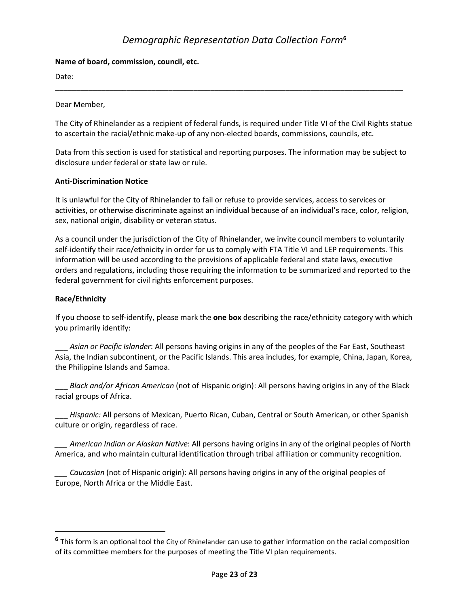# Demographic Representation Data Collection Form<sup>6</sup>

### Name of board, commission, council, etc.

Date: \_\_\_\_\_\_\_\_\_\_\_\_\_\_\_\_\_\_\_\_\_\_\_\_\_\_\_\_\_\_\_\_\_\_\_\_\_\_\_\_\_\_\_\_\_\_\_\_\_\_\_\_\_\_\_\_\_\_\_\_\_\_\_\_\_\_\_\_\_\_\_\_\_\_\_\_\_\_\_\_\_\_\_ Dear Member,

The City of Rhinelander as a recipient of federal funds, is required under Title VI of the Civil Rights statue to ascertain the racial/ethnic make-up of any non-elected boards, commissions, councils, etc.

Data from this section is used for statistical and reporting purposes. The information may be subject to disclosure under federal or state law or rule.

### Anti-Discrimination Notice

It is unlawful for the City of Rhinelander to fail or refuse to provide services, access to services or activities, or otherwise discriminate against an individual because of an individual's race, color, religion, sex, national origin, disability or veteran status.

As a council under the jurisdiction of the City of Rhinelander, we invite council members to voluntarily self-identify their race/ethnicity in order for us to comply with FTA Title VI and LEP requirements. This information will be used according to the provisions of applicable federal and state laws, executive orders and regulations, including those requiring the information to be summarized and reported to the federal government for civil rights enforcement purposes.

### Race/Ethnicity

If you choose to self-identify, please mark the one box describing the race/ethnicity category with which you primarily identify:<br>Asian or Pacific Islander: All persons having origins in any of the peoples of the Far East, Southeast

Asia, the Indian subcontinent, or the Pacific Islands. This area includes, for example, China, Japan, Korea,

the Philippine Islands and Samoa.<br>\_\_\_ Black and/or African American (not of Hispanic origin): All persons having origins in any of the Black

racial groups of Africa.<br>\_\_\_ Hispanic: All persons of Mexican, Puerto Rican, Cuban, Central or South American, or other Spanish culture or origin, regardless of race.

American Indian or Alaskan Native: All persons having origins in any of the original peoples of North America, and who maintain cultural identification through tribal affiliation or community recognition.

Caucasian (not of Hispanic origin): All persons having origins in any of the original peoples of Europe, North Africa or the Middle East.

<sup>&</sup>lt;sup>6</sup> This form is an optional tool the City of Rhinelander can use to gather information on the racial composition of its committee members for the purposes of meeting the Title VI plan requirements.